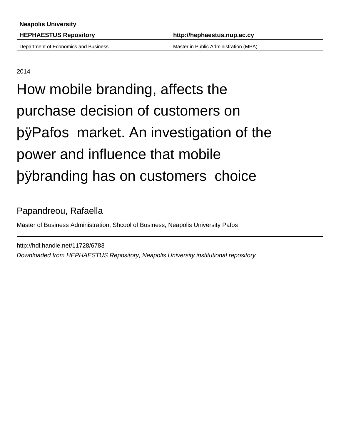Department of Economics and Business Master in Public Administration (MPA)

2014

# How mobile branding, affects the purchase decision of customers on þÿPafos market. An investigatio power and influence that mobile þÿbranding has on customers

#### Papandreou, Rafaella

Master of Business Administration, Shcool of Business, Neapolis University Pafos

http://hdl.handle.net/11728/6783 Downloaded from HEPHAESTUS Repository, Neapolis University institutional repository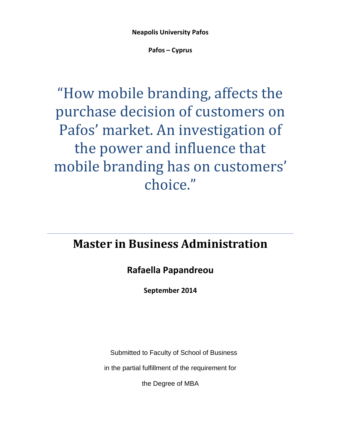**Neapolis University Pafos**

**Pafos – Cyprus**

## "How mobile branding, affects the purchase decision of customers on Pafos' market. An investigation of the power and influence that mobile branding has on customers' choice."

## **Master in Business Administration**

#### **Rafaella Papandreou**

**September 2014**

Submitted to Faculty of School of Business

in the partial fulfillment of the requirement for

the Degree of MBA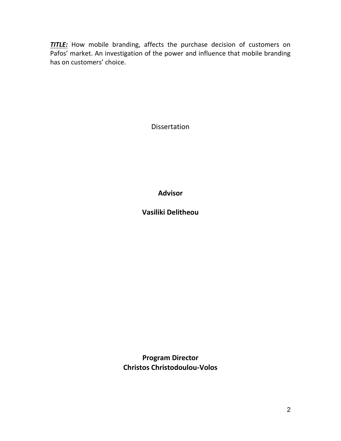**TITLE:** How mobile branding, affects the purchase decision of customers on Pafos' market. An investigation of the power and influence that mobile branding has on customers' choice.

Dissertation

**Advisor**

**Vasiliki Delitheou**

**Program Director Christos Christodoulou-Volos**